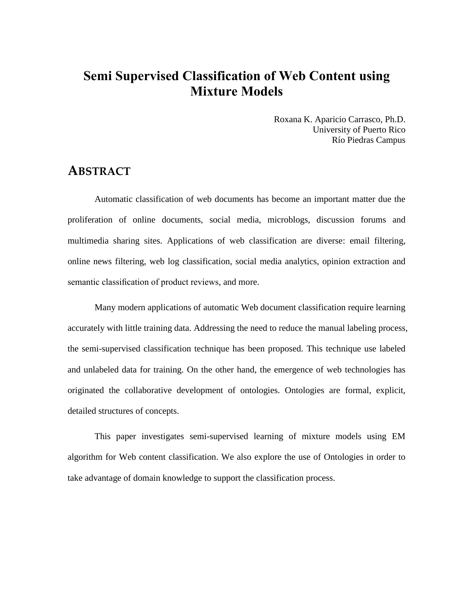# **Semi Supervised Classification of Web Content using Mixture Models**

Roxana K. Aparicio Carrasco, Ph.D. University of Puerto Rico Río Piedras Campus

### **ABSTRACT**

Automatic classification of web documents has become an important matter due the proliferation of online documents, social media, microblogs, discussion forums and multimedia sharing sites. Applications of web classification are diverse: email filtering, online news filtering, web log classification, social media analytics, opinion extraction and semantic classification of product reviews, and more.

Many modern applications of automatic Web document classification require learning accurately with little training data. Addressing the need to reduce the manual labeling process, the semi-supervised classification technique has been proposed. This technique use labeled and unlabeled data for training. On the other hand, the emergence of web technologies has originated the collaborative development of ontologies. Ontologies are formal, explicit, detailed structures of concepts.

This paper investigates semi-supervised learning of mixture models using EM algorithm for Web content classification. We also explore the use of Ontologies in order to take advantage of domain knowledge to support the classification process.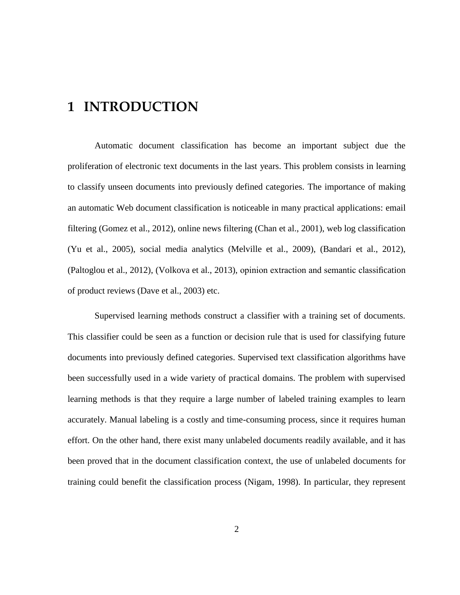# **1 INTRODUCTION**

Automatic document classification has become an important subject due the proliferation of electronic text documents in the last years. This problem consists in learning to classify unseen documents into previously defined categories. The importance of making an automatic Web document classification is noticeable in many practical applications: email filtering (Gomez et al., 2012), online news filtering (Chan et al., 2001), web log classification (Yu et al., 2005), social media analytics (Melville et al., 2009), (Bandari et al., 2012), (Paltoglou et al., 2012), (Volkova et al., 2013), opinion extraction and semantic classification of product reviews (Dave et al., 2003) etc.

Supervised learning methods construct a classifier with a training set of documents. This classifier could be seen as a function or decision rule that is used for classifying future documents into previously defined categories. Supervised text classification algorithms have been successfully used in a wide variety of practical domains. The problem with supervised learning methods is that they require a large number of labeled training examples to learn accurately. Manual labeling is a costly and time-consuming process, since it requires human effort. On the other hand, there exist many unlabeled documents readily available, and it has been proved that in the document classification context, the use of unlabeled documents for training could benefit the classification process (Nigam, 1998). In particular, they represent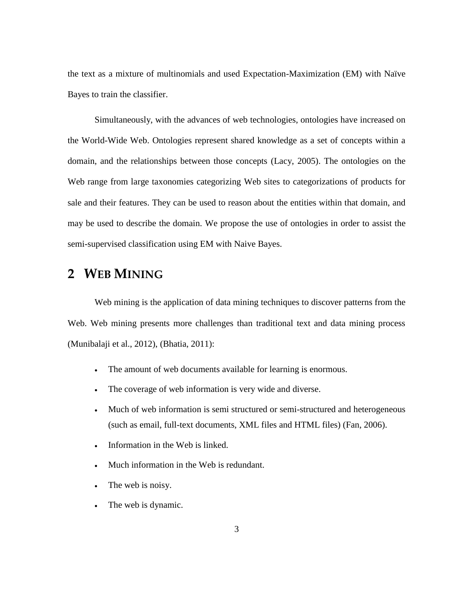the text as a mixture of multinomials and used Expectation-Maximization (EM) with Naïve Bayes to train the classifier.

Simultaneously, with the advances of web technologies, ontologies have increased on the World-Wide Web. Ontologies represent shared knowledge as a set of concepts within a domain, and the relationships between those concepts (Lacy, 2005). The ontologies on the Web range from large taxonomies categorizing Web sites to categorizations of products for sale and their features. They can be used to reason about the entities within that domain, and may be used to describe the domain. We propose the use of ontologies in order to assist the semi-supervised classification using EM with Naive Bayes.

## **2 WEB MINING**

Web mining is the application of [data mining](http://en.wikipedia.org/wiki/Data_mining) techniques to discover patterns from the [Web.](http://en.wikipedia.org/wiki/World_Wide_Web) Web mining presents more challenges than traditional text and data mining process (Munibalaji et al., 2012), (Bhatia, 2011):

- The amount of web documents available for learning is enormous.
- The coverage of web information is very wide and diverse.
- Much of web information is semi structured or semi-structured and heterogeneous (such as email, full-text documents, XML files and HTML files) (Fan, 2006).
- Information in the Web is linked.
- Much information in the Web is redundant.
- The web is noisy.
- The web is dynamic.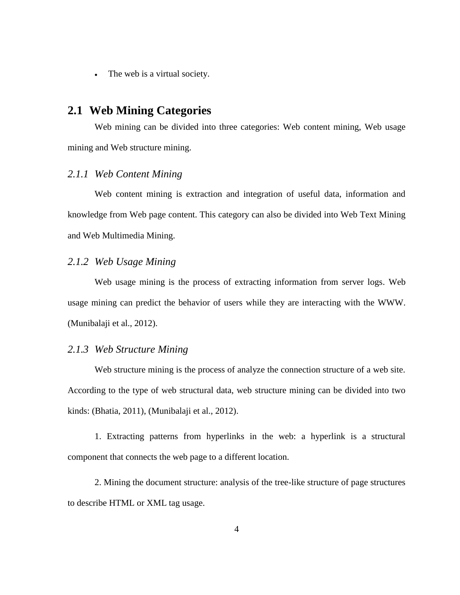The web is a virtual society.

### **2.1 Web Mining Categories**

Web mining can be divided into three categories: Web content mining, Web usage mining and Web structure mining.

#### *2.1.1 Web Content Mining*

Web content mining is extraction and integration of useful data, information and knowledge from Web page content. This category can also be divided into Web Text Mining and Web Multimedia Mining.

### *2.1.2 Web Usage Mining*

Web usage mining is the process of extracting information from server logs. Web usage mining can predict the behavior of users while they are interacting with the WWW. (Munibalaji et al., 2012).

#### *2.1.3 Web Structure Mining*

Web structure mining is the process of analyze the connection structure of a web site. According to the type of web structural data, web structure mining can be divided into two kinds: (Bhatia, 2011), (Munibalaji et al., 2012).

1. Extracting patterns from hyperlinks in the web: a hyperlink is a structural component that connects the web page to a different location.

2. Mining the document structure: analysis of the tree-like structure of page structures to describe HTML or XML tag usage.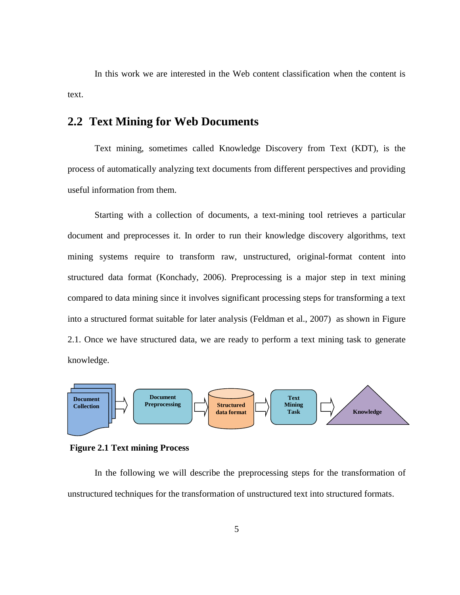In this work we are interested in the Web content classification when the content is text.

## **2.2 Text Mining for Web Documents**

Text mining, sometimes called Knowledge Discovery from Text (KDT), is the process of automatically analyzing text documents from different perspectives and providing useful information from them.

Starting with a collection of documents, a text-mining tool retrieves a particular document and preprocesses it. In order to run their knowledge discovery algorithms, text mining systems require to transform raw, unstructured, original-format content into structured data format (Konchady, 2006). Preprocessing is a major step in text mining compared to data mining since it involves significant processing steps for transforming a text into a structured format suitable for later analysis (Feldman et al., 2007) as shown in [Figure](#page-4-0)  [2.1.](#page-4-0) Once we have structured data, we are ready to perform a text mining task to generate knowledge.



<span id="page-4-0"></span>**Figure 2.1 Text mining Process**

In the following we will describe the preprocessing steps for the transformation of unstructured techniques for the transformation of unstructured text into structured formats.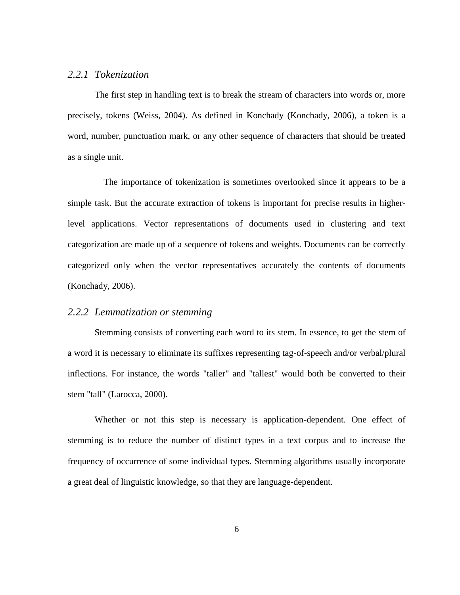### *2.2.1 Tokenization*

The first step in handling text is to break the stream of characters into words or, more precisely, tokens (Weiss, 2004). As defined in Konchady (Konchady, 2006), a token is a word, number, punctuation mark, or any other sequence of characters that should be treated as a single unit.

 The importance of tokenization is sometimes overlooked since it appears to be a simple task. But the accurate extraction of tokens is important for precise results in higherlevel applications. Vector representations of documents used in clustering and text categorization are made up of a sequence of tokens and weights. Documents can be correctly categorized only when the vector representatives accurately the contents of documents (Konchady, 2006).

#### *2.2.2 Lemmatization or stemming*

Stemming consists of converting each word to its stem. In essence, to get the stem of a word it is necessary to eliminate its suffixes representing tag-of-speech and/or verbal/plural inflections. For instance, the words "taller" and "tallest" would both be converted to their stem "tall" (Larocca, 2000).

Whether or not this step is necessary is application-dependent. One effect of stemming is to reduce the number of distinct types in a text corpus and to increase the frequency of occurrence of some individual types. Stemming algorithms usually incorporate a great deal of linguistic knowledge, so that they are language-dependent.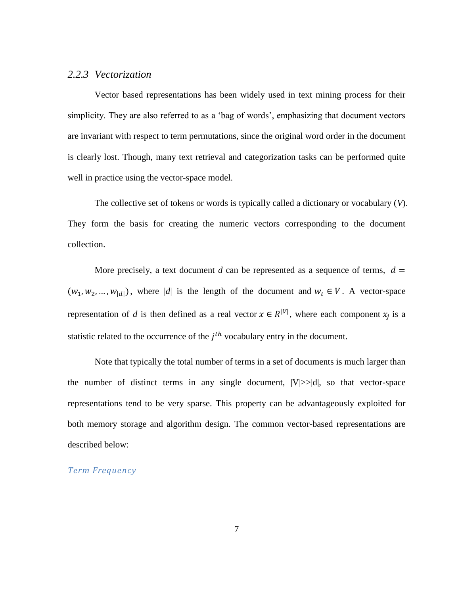### *2.2.3 Vectorization*

Vector based representations has been widely used in text mining process for their simplicity. They are also referred to as a 'bag of words', emphasizing that document vectors are invariant with respect to term permutations, since the original word order in the document is clearly lost. Though, many text retrieval and categorization tasks can be performed quite well in practice using the vector-space model.

The collective set of tokens or words is typically called a dictionary or vocabulary (*V*). They form the basis for creating the numeric vectors corresponding to the document collection.

More precisely, a text document *d* can be represented as a sequence of terms,  $d =$  $(w_1, w_2, ..., w_{|d|})$ , where |*d*| is the length of the document and  $w_t \in V$ . A vector-space representation of *d* is then defined as a real vector  $x \in R^{|V|}$ , where each component  $x_j$  is a statistic related to the occurrence of the  $j<sup>th</sup>$  vocabulary entry in the document.

Note that typically the total number of terms in a set of documents is much larger than the number of distinct terms in any single document,  $|V|>>|d|$ , so that vector-space representations tend to be very sparse. This property can be advantageously exploited for both memory storage and algorithm design. The common vector-based representations are described below:

*Term Frequency*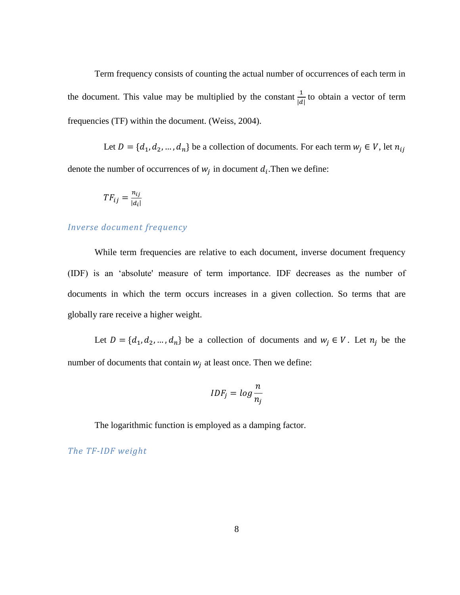Term frequency consists of counting the actual number of occurrences of each term in the document. This value may be multiplied by the constant  $\frac{1}{|d|}$  to obtain a vector of term frequencies (TF) within the document. (Weiss, 2004).

Let  $D = \{d_1, d_2, ..., d_n\}$  be a collection of documents. For each term  $w_j \in V$ , let  $n_{ij}$ denote the number of occurrences of  $w_j$  in document  $d_i$ . Then we define:

$$
TF_{ij} = \frac{n_{ij}}{|d_i|}
$$

#### *Inverse document frequency*

While term frequencies are relative to each document, inverse document frequency (IDF) is an 'absolute' measure of term importance. IDF decreases as the number of documents in which the term occurs increases in a given collection. So terms that are globally rare receive a higher weight.

Let  $D = \{d_1, d_2, ..., d_n\}$  be a collection of documents and  $w_j \in V$ . Let  $n_j$  be the number of documents that contain  $w_i$  at least once. Then we define:

$$
IDF_j = log \frac{n}{n_j}
$$

The logarithmic function is employed as a damping factor.

*The TF-IDF weight*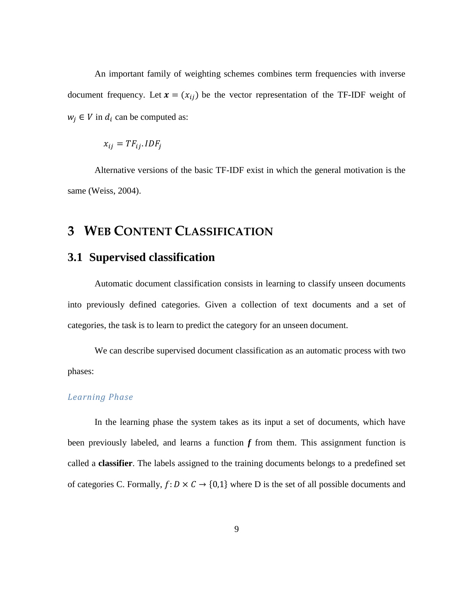An important family of weighting schemes combines term frequencies with inverse document frequency. Let  $\mathbf{x} = (x_{ij})$  be the vector representation of the TF-IDF weight of  $w_i \in V$  in  $d_i$  can be computed as:

$$
x_{ij} = TF_{ij}.IDF_j
$$

Alternative versions of the basic TF-IDF exist in which the general motivation is the same (Weiss, 2004).

## **3 WEB CONTENT CLASSIFICATION**

### **3.1 Supervised classification**

Automatic document classification consists in learning to classify unseen documents into previously defined categories. Given a collection of text documents and a set of categories, the task is to learn to predict the category for an unseen document.

We can describe supervised document classification as an automatic process with two phases:

#### *Learning Phase*

In the learning phase the system takes as its input a set of documents, which have been previously labeled, and learns a function *f* from them. This assignment function is called a **classifier**. The labels assigned to the training documents belongs to a predefined set of categories C. Formally,  $f: D \times C \rightarrow \{0,1\}$  where D is the set of all possible documents and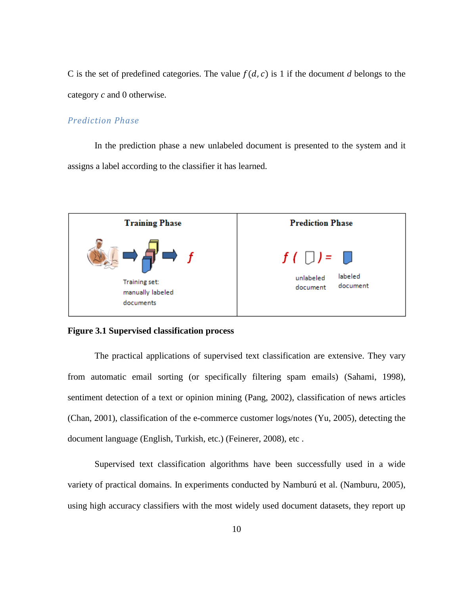C is the set of predefined categories. The value  $f(d, c)$  is 1 if the document *d* belongs to the category *c* and 0 otherwise.

### *Prediction Phase*

In the prediction phase a new unlabeled document is presented to the system and it assigns a label according to the classifier it has learned.



#### **Figure 3.1 Supervised classification process**

The practical applications of supervised text classification are extensive. They vary from automatic email sorting (or specifically filtering spam emails) (Sahami, 1998), sentiment detection of a text or opinion mining (Pang, 2002), classification of news articles (Chan, 2001), classification of the e-commerce customer logs/notes (Yu, 2005), detecting the document language (English, Turkish, etc.) (Feinerer, 2008), etc .

Supervised text classification algorithms have been successfully used in a wide variety of practical domains. In experiments conducted by Namburú et al. (Namburu, 2005), using high accuracy classifiers with the most widely used document datasets, they report up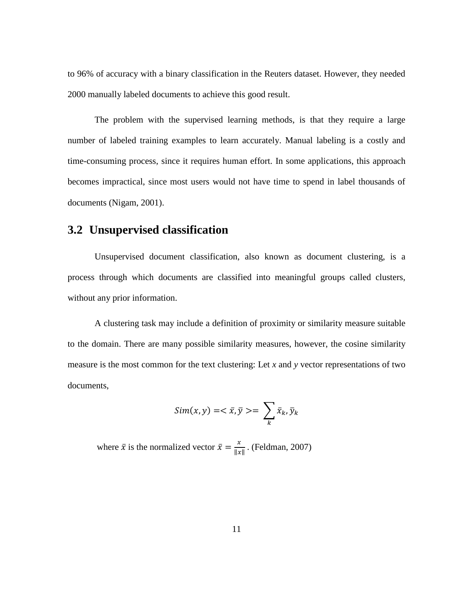to 96% of accuracy with a binary classification in the Reuters dataset. However, they needed 2000 manually labeled documents to achieve this good result.

The problem with the supervised learning methods, is that they require a large number of labeled training examples to learn accurately. Manual labeling is a costly and time-consuming process, since it requires human effort. In some applications, this approach becomes impractical, since most users would not have time to spend in label thousands of documents (Nigam, 2001).

## **3.2 Unsupervised classification**

Unsupervised document classification, also known as document clustering, is a process through which documents are classified into meaningful groups called clusters, without any prior information.

A clustering task may include a definition of proximity or similarity measure suitable to the domain. There are many possible similarity measures, however, the cosine similarity measure is the most common for the text clustering: Let *x* and *y* vector representations of two documents,

$$
Sim(x, y) = \langle \bar{x}, \bar{y} \rangle = \sum_{k} \bar{x}_{k}, \bar{y}_{k}
$$

where  $\bar{x}$  is the normalized vector  $\bar{x} = \frac{x}{4}$  $\frac{x}{\|x\|}$ . (Feldman, 2007)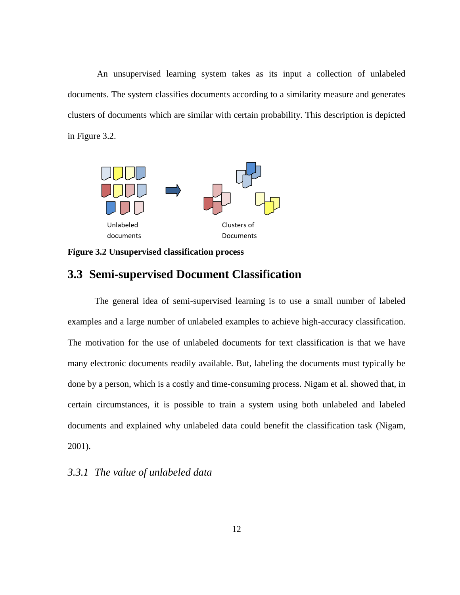An unsupervised learning system takes as its input a collection of unlabeled documents. The system classifies documents according to a similarity measure and generates clusters of documents which are similar with certain probability. This description is depicted in [Figure 3.2.](#page-11-0)



<span id="page-11-0"></span>**Figure 3.2 Unsupervised classification process**

### **3.3 Semi-supervised Document Classification**

The general idea of semi-supervised learning is to use a small number of labeled examples and a large number of unlabeled examples to achieve high-accuracy classification. The motivation for the use of unlabeled documents for text classification is that we have many electronic documents readily available. But, labeling the documents must typically be done by a person, which is a costly and time-consuming process. Nigam et al. showed that, in certain circumstances, it is possible to train a system using both unlabeled and labeled documents and explained why unlabeled data could benefit the classification task (Nigam, 2001).

### *3.3.1 The value of unlabeled data*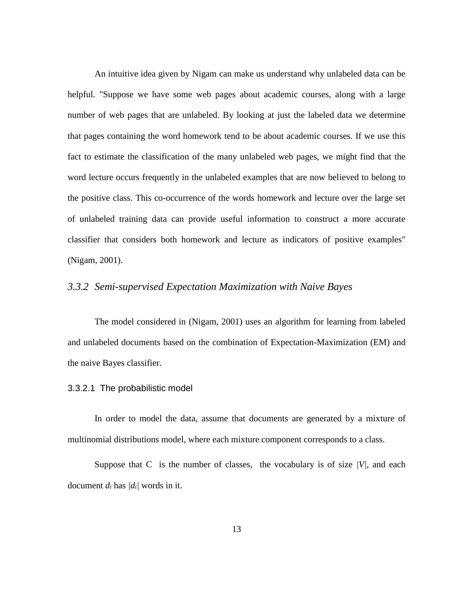An intuitive idea given by Nigam can make us understand why unlabeled data can be helpful. "Suppose we have some web pages about academic courses, along with a large number of web pages that are unlabeled. By looking at just the labeled data we determine that pages containing the word homework tend to be about academic courses. If we use this fact to estimate the classification of the many unlabeled web pages, we might find that the word lecture occurs frequently in the unlabeled examples that are now believed to belong to the positive class. This co-occurrence of the words homework and lecture over the large set of unlabeled training data can provide useful information to construct a more accurate classifier that considers both homework and lecture as indicators of positive examples" (Nigam, 2001).

### *3.3.2 Semi-supervised Expectation Maximization with Naive Bayes*

The model considered in (Nigam, 2001) uses an algorithm for learning from labeled and unlabeled documents based on the combination of Expectation-Maximization (EM) and the naive Bayes classifier.

#### 3.3.2.1 The probabilistic model

In order to model the data, assume that documents are generated by a mixture of multinomial distributions model, where each mixture component corresponds to a class.

Suppose that C is the number of classes, the vocabulary is of size  $|V|$ , and each document  $d_i$  has  $/d_i$  words in it.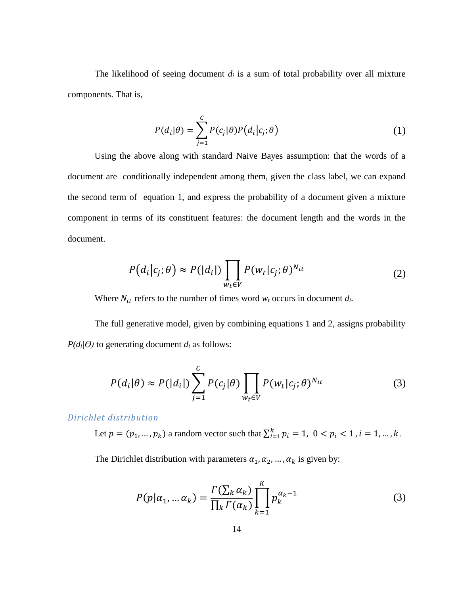The likelihood of seeing document  $d_i$  is a sum of total probability over all mixture components. That is,

$$
P(d_i|\theta) = \sum_{j=1}^{C} P(c_j|\theta)P(d_i|c_j;\theta)
$$
\n(1)

Using the above along with standard Naive Bayes assumption: that the words of a document are conditionally independent among them, given the class label, we can expand the second term of equation 1, and express the probability of a document given a mixture component in terms of its constituent features: the document length and the words in the document.

$$
P(d_i|c_j;\theta) \approx P(|d_i|) \prod_{w_t \in V} P(w_t|c_j;\theta)^{N_{it}}
$$
\n(2)

Where  $N_{it}$  refers to the number of times word  $w_t$  occurs in document  $d_i$ .

The full generative model, given by combining equations 1 and 2, assigns probability  $P(d_i|\theta)$  to generating document  $d_i$  as follows:

$$
P(d_i|\theta) \approx P(|d_i|) \sum_{j=1}^{C} P(c_j|\theta) \prod_{w_t \in V} P(w_t|c_j; \theta)^{N_{it}}
$$
 (3)

*Dirichlet distribution* 

Let  $p = (p_1, ..., p_k)$  a random vector such that  $\sum_{i=1}^{k} p_i = 1, 0 < p_i < 1, i = 1, ..., k$ .

The Dirichlet distribution with parameters  $\alpha_1, \alpha_2, ..., \alpha_k$  is given by:

$$
P(p|\alpha_1, \dots \alpha_k) = \frac{\Gamma(\sum_k \alpha_k)}{\prod_k \Gamma(\alpha_k)} \prod_{k=1}^K p_k^{\alpha_k - 1}
$$
 (3)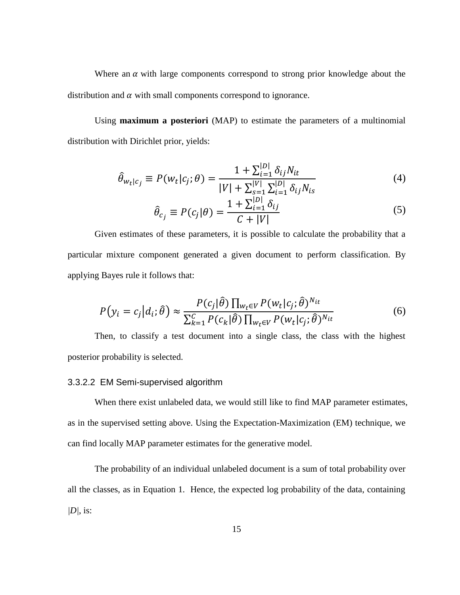Where an  $\alpha$  with large components correspond to strong prior knowledge about the distribution and  $\alpha$  with small components correspond to ignorance.

Using **maximum a posteriori** (MAP) to estimate the parameters of a multinomial distribution with Dirichlet prior, yields:

$$
\hat{\theta}_{w_t|c_j} \equiv P(w_t|c_j; \theta) = \frac{1 + \sum_{i=1}^{|D|} \delta_{ij} N_{it}}{|V| + \sum_{s=1}^{|V|} \sum_{i=1}^{|D|} \delta_{ij} N_{is}} \tag{4}
$$

$$
\hat{\theta}_{c_j} \equiv P(c_j|\theta) = \frac{1 + \sum_{i=1}^{|D|} \delta_{ij}}{C + |V|} \tag{5}
$$

Given estimates of these parameters, it is possible to calculate the probability that a particular mixture component generated a given document to perform classification. By applying Bayes rule it follows that:

$$
P(y_i = c_j | d_i; \hat{\theta}) \approx \frac{P(c_j | \hat{\theta}) \prod_{w_t \in V} P(w_t | c_j; \hat{\theta})^{N_{it}}}{\sum_{k=1}^{C} P(c_k | \hat{\theta}) \prod_{w_t \in V} P(w_t | c_j; \hat{\theta})^{N_{it}}}
$$
(6)

Then, to classify a test document into a single class, the class with the highest posterior probability is selected.

#### 3.3.2.2 EM Semi-supervised algorithm

When there exist unlabeled data, we would still like to find MAP parameter estimates, as in the supervised setting above. Using the Expectation-Maximization (EM) technique, we can find locally MAP parameter estimates for the generative model.

The probability of an individual unlabeled document is a sum of total probability over all the classes, as in Equation 1. Hence, the expected log probability of the data, containing *|D|*, is: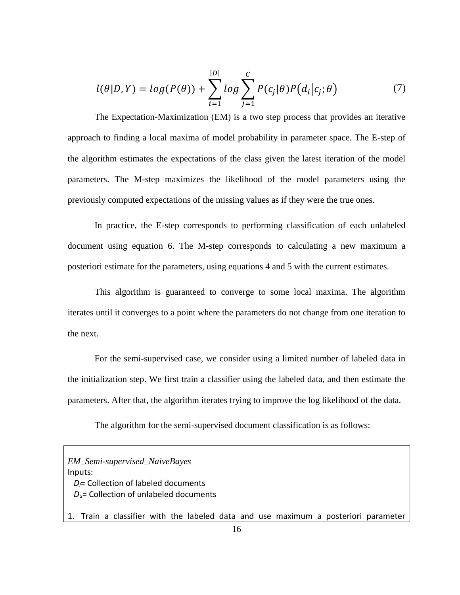$$
l(\theta|D,Y) = log(P(\theta)) + \sum_{i=1}^{|D|} log \sum_{j=1}^{C} P(c_j|\theta)P(d_i|c_j;\theta)
$$
\n(7)

The Expectation-Maximization (EM) is a two step process that provides an iterative approach to finding a local maxima of model probability in parameter space. The E-step of the algorithm estimates the expectations of the class given the latest iteration of the model parameters. The M-step maximizes the likelihood of the model parameters using the previously computed expectations of the missing values as if they were the true ones.

In practice, the E-step corresponds to performing classification of each unlabeled document using equation 6. The M-step corresponds to calculating a new maximum a posteriori estimate for the parameters, using equations 4 and 5 with the current estimates.

This algorithm is guaranteed to converge to some local maxima. The algorithm iterates until it converges to a point where the parameters do not change from one iteration to the next.

For the semi-supervised case, we consider using a limited number of labeled data in the initialization step. We first train a classifier using the labeled data, and then estimate the parameters. After that, the algorithm iterates trying to improve the log likelihood of the data.

The algorithm for the semi-supervised document classification is as follows:

*EM\_Semi-supervised\_NaiveBayes* Inputs: *Dl*= Collection of labeled documents *Du*= Collection of unlabeled documents 1. Train a classifier with the labeled data and use maximum a posteriori parameter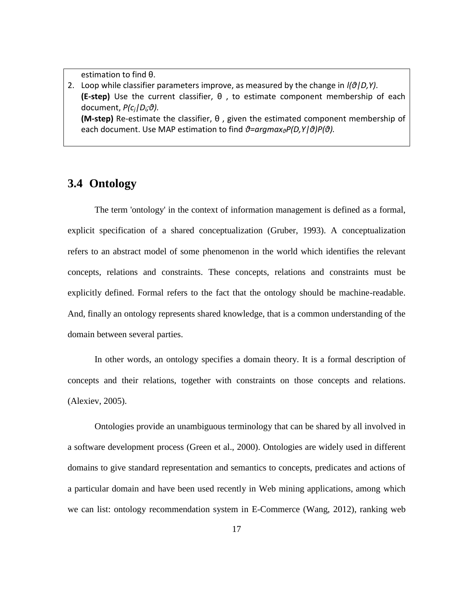estimation to find θ.

2. Loop while classifier parameters improve, as measured by the change in *l(θ|D,Y)*. **(E-step)** Use the current classifier, θ , to estimate component membership of each document, *P(cj|Di;θ).* **(M-step)** Re-estimate the classifier, θ , given the estimated component membership of each document. Use MAP estimation to find *θ=argmaxθP(D,Y|θ)P(θ).*

## **3.4 Ontology**

The term 'ontology' in the context of information management is defined as a formal, explicit specification of a shared conceptualization (Gruber, 1993). A conceptualization refers to an abstract model of some phenomenon in the world which identifies the relevant concepts, relations and constraints. These concepts, relations and constraints must be explicitly defined. Formal refers to the fact that the ontology should be machine-readable. And, finally an ontology represents shared knowledge, that is a common understanding of the domain between several parties.

In other words, an ontology specifies a domain theory. It is a formal description of concepts and their relations, together with constraints on those concepts and relations. (Alexiev, 2005).

Ontologies provide an unambiguous terminology that can be shared by all involved in a software development process (Green et al., 2000). Ontologies are widely used in different domains to give standard representation and semantics to concepts, predicates and actions of a particular domain and have been used recently in Web mining applications, among which we can list: ontology recommendation system in E-Commerce (Wang, 2012), ranking web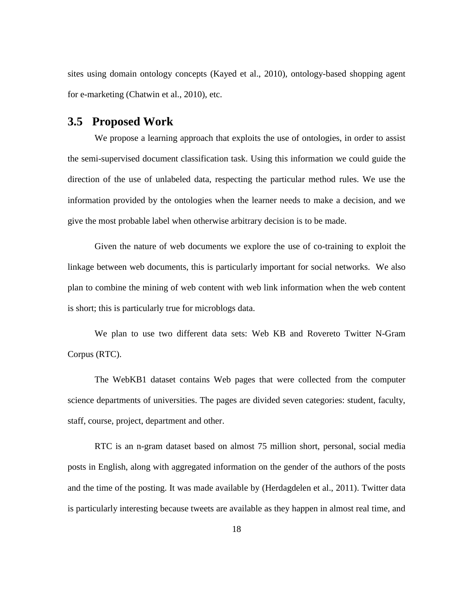sites using domain ontology concepts (Kayed et al., 2010), ontology-based shopping agent for e-marketing (Chatwin et al., 2010), etc.

### **3.5 Proposed Work**

We propose a learning approach that exploits the use of ontologies, in order to assist the semi-supervised document classification task. Using this information we could guide the direction of the use of unlabeled data, respecting the particular method rules. We use the information provided by the ontologies when the learner needs to make a decision, and we give the most probable label when otherwise arbitrary decision is to be made.

Given the nature of web documents we explore the use of co-training to exploit the linkage between web documents, this is particularly important for social networks. We also plan to combine the mining of web content with web link information when the web content is short; this is particularly true for microblogs data.

We plan to use two different data sets: Web KB and Rovereto Twitter N-Gram Corpus (RTC).

The WebKB1 dataset contains Web pages that were collected from the computer science departments of universities. The pages are divided seven categories: student, faculty, staff, course, project, department and other.

RTC is an n-gram dataset based on almost 75 million short, personal, social media posts in English, along with aggregated information on the gender of the authors of the posts and the time of the posting. It was made available by (Herdagdelen et al., 2011). Twitter data is particularly interesting because tweets are available as they happen in almost real time, and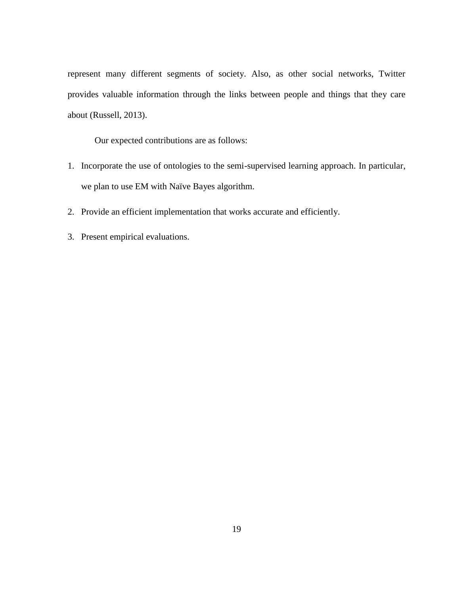represent many different segments of society. Also, as other social networks, Twitter provides valuable information through the links between people and things that they care about (Russell, 2013).

Our expected contributions are as follows:

- 1. Incorporate the use of ontologies to the semi-supervised learning approach. In particular, we plan to use EM with Naïve Bayes algorithm.
- 2. Provide an efficient implementation that works accurate and efficiently.
- 3. Present empirical evaluations.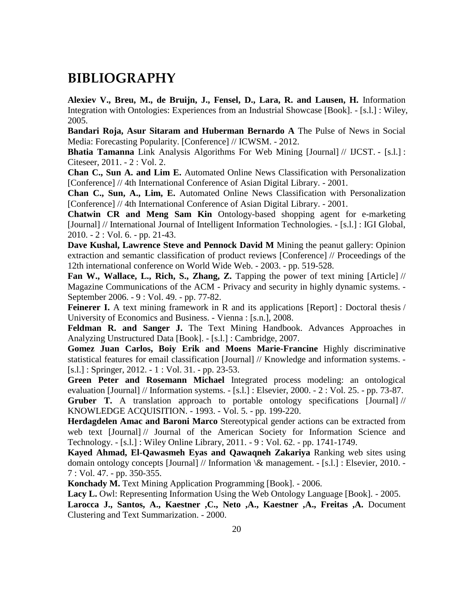# **BIBLIOGRAPHY**

**Alexiev V., Breu, M., de Bruijn, J., Fensel, D., Lara, R. and Lausen, H.** Information Integration with Ontologies: Experiences from an Industrial Showcase [Book]. - [s.l.] : Wiley, 2005.

**Bandari Roja, Asur Sitaram and Huberman Bernardo A** The Pulse of News in Social Media: Forecasting Popularity. [Conference] // ICWSM. - 2012.

**Bhatia Tamanna** Link Analysis Algorithms For Web Mining [Journal] // IJCST. - [s.l.] : Citeseer, 2011. - 2 : Vol. 2.

**Chan C., Sun A. and Lim E.** Automated Online News Classification with Personalization [Conference] // 4th International Conference of Asian Digital Library. - 2001.

**Chan C., Sun, A., Lim, E.** Automated Online News Classification with Personalization [Conference] // 4th International Conference of Asian Digital Library. - 2001.

**Chatwin CR and Meng Sam Kin** Ontology-based shopping agent for e-marketing [Journal] // International Journal of Intelligent Information Technologies. - [s.l.] : IGI Global, 2010. - 2 : Vol. 6. - pp. 21-43.

**Dave Kushal, Lawrence Steve and Pennock David M** Mining the peanut gallery: Opinion extraction and semantic classification of product reviews [Conference] // Proceedings of the 12th international conference on World Wide Web. - 2003. - pp. 519-528.

**Fan W., Wallace, L., Rich, S., Zhang, Z.** Tapping the power of text mining [Article] // Magazine Communications of the ACM - Privacy and security in highly dynamic systems. - September 2006. - 9 : Vol. 49. - pp. 77-82.

**Feinerer I.** A text mining framework in R and its applications [Report] : Doctoral thesis / University of Economics and Business. - Vienna : [s.n.], 2008.

**Feldman R. and Sanger J.** The Text Mining Handbook. Advances Approaches in Analyzing Unstructured Data [Book]. - [s.l.] : Cambridge, 2007.

**Gomez Juan Carlos, Boiy Erik and Moens Marie-Francine** Highly discriminative statistical features for email classification [Journal] // Knowledge and information systems. - [s.l.] : Springer, 2012. - 1 : Vol. 31. - pp. 23-53.

**Green Peter and Rosemann Michael** Integrated process modeling: an ontological evaluation [Journal] // Information systems. - [s.l.] : Elsevier, 2000. - 2 : Vol. 25. - pp. 73-87.

**Gruber T.** A translation approach to portable ontology specifications [Journal] // KNOWLEDGE ACQUISITION. - 1993. - Vol. 5. - pp. 199-220.

**Herdagdelen Amac and Baroni Marco** Stereotypical gender actions can be extracted from web text [Journal] // Journal of the American Society for Information Science and Technology. - [s.l.] : Wiley Online Library, 2011. - 9 : Vol. 62. - pp. 1741-1749.

**Kayed Ahmad, El-Qawasmeh Eyas and Qawaqneh Zakariya** Ranking web sites using domain ontology concepts [Journal] // Information \& management. - [s.l.] : Elsevier, 2010. - 7 : Vol. 47. - pp. 350-355.

**Konchady M.** Text Mining Application Programming [Book]. - 2006.

**Lacy L.** Owl: Representing Information Using the Web Ontology Language [Book]. - 2005. **Larocca J., Santos, A., Kaestner ,C., Neto ,A., Kaestner ,A., Freitas ,A.** Document Clustering and Text Summarization. - 2000.